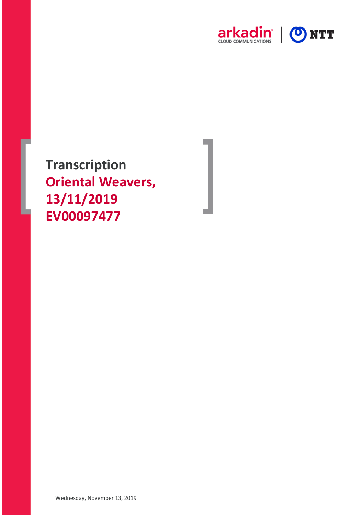

**Transcription Oriental Weavers, 13/11/2019 EV00097477**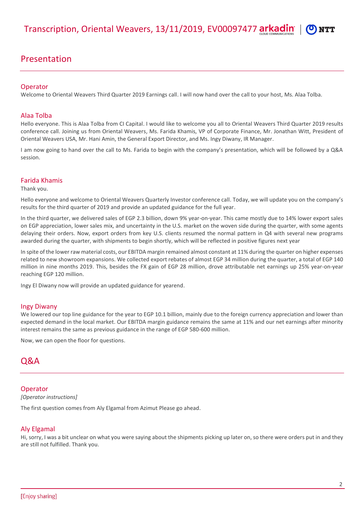# Presentation

# **Operator**

Welcome to Oriental Weavers Third Quarter 2019 Earnings call. I will now hand over the call to your host, Ms. Alaa Tolba.

# Alaa Tolba

Hello everyone. This is Alaa Tolba from CI Capital. I would like to welcome you all to Oriental Weavers Third Quarter 2019 results conference call. Joining us from Oriental Weavers, Ms. Farida Khamis, VP of Corporate Finance, Mr. Jonathan Witt, President of Oriental Weavers USA, Mr. Hani Amin, the General Export Director, and Ms. Ingy Diwany, IR Manager.

I am now going to hand over the call to Ms. Farida to begin with the company's presentation, which will be followed by a Q&A session.

# Farida Khamis

Thank you.

Hello everyone and welcome to Oriental Weavers Quarterly Investor conference call. Today, we will update you on the company's results for the third quarter of 2019 and provide an updated guidance for the full year.

In the third quarter, we delivered sales of EGP 2.3 billion, down 9% year-on-year. This came mostly due to 14% lower export sales on EGP appreciation, lower sales mix, and uncertainty in the U.S. market on the woven side during the quarter, with some agents delaying their orders. Now, export orders from key U.S. clients resumed the normal pattern in Q4 with several new programs awarded during the quarter, with shipments to begin shortly, which will be reflected in positive figures next year

In spite of the lower raw material costs, our EBITDA margin remained almost constant at 11% during the quarter on higher expenses related to new showroom expansions. We collected export rebates of almost EGP 34 million during the quarter, a total of EGP 140 million in nine months 2019. This, besides the FX gain of EGP 28 million, drove attributable net earnings up 25% year-on-year reaching EGP 120 million.

Ingy El Diwany now will provide an updated guidance for yearend.

# Ingy Diwany

We lowered our top line guidance for the year to EGP 10.1 billion, mainly due to the foreign currency appreciation and lower than expected demand in the local market. Our EBITDA margin guidance remains the same at 11% and our net earnings after minority interest remains the same as previous guidance in the range of EGP 580-600 million.

Now, we can open the floor for questions.

# Q&A

# Operator

*[Operator instructions]*

The first question comes from Aly Elgamal from Azimut Please go ahead.

# Aly Elgamal

Hi, sorry, I was a bit unclear on what you were saying about the shipments picking up later on, so there were orders put in and they are still not fulfilled. Thank you.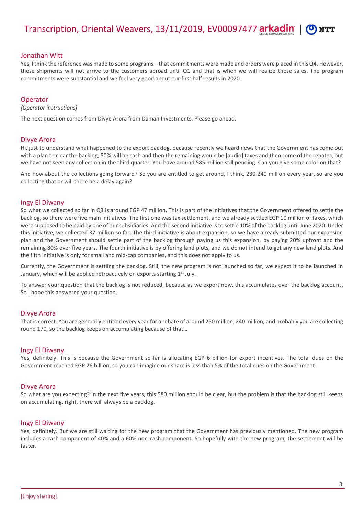Transcription, Oriental Weavers, 13/11/2019, EV00097477 arkadin

# Jonathan Witt

Yes, I think the reference was made to some programs – that commitments were made and orders were placed in this Q4. However, those shipments will not arrive to the customers abroad until Q1 and that is when we will realize those sales. The program commitments were substantial and we feel very good about our first half results in 2020.

# **Operator**

*[Operator instructions]*

The next question comes from Divye Arora from Daman Investments. Please go ahead.

# Divye Arora

Hi, just to understand what happened to the export backlog, because recently we heard news that the Government has come out with a plan to clear the backlog, 50% will be cash and then the remaining would be [audio] taxes and then some of the rebates, but we have not seen any collection in the third quarter. You have around 585 million still pending. Can you give some color on that?

And how about the collections going forward? So you are entitled to get around, I think, 230-240 million every year, so are you collecting that or will there be a delay again?

#### Ingy El Diwany

So what we collected so far in Q3 is around EGP 47 million. This is part of the initiatives that the Government offered to settle the backlog, so there were five main initiatives. The first one was tax settlement, and we already settled EGP 10 million of taxes, which were supposed to be paid by one of our subsidiaries. And the second initiative is to settle 10% of the backlog until June 2020. Under this initiative, we collected 37 million so far. The third initiative is about expansion, so we have already submitted our expansion plan and the Government should settle part of the backlog through paying us this expansion, by paying 20% upfront and the remaining 80% over five years. The fourth initiative is by offering land plots, and we do not intend to get any new land plots. And the fifth initiative is only for small and mid-cap companies, and this does not apply to us.

Currently, the Government is settling the backlog. Still, the new program is not launched so far, we expect it to be launched in January, which will be applied retroactively on exports starting  $1<sup>st</sup>$  July.

To answer your question that the backlog is not reduced, because as we export now, this accumulates over the backlog account. So I hope this answered your question.

#### Divye Arora

That is correct. You are generally entitled every year for a rebate of around 250 million, 240 million, and probably you are collecting round 170, so the backlog keeps on accumulating because of that…

#### Ingy El Diwany

Yes, definitely. This is because the Government so far is allocating EGP 6 billion for export incentives. The total dues on the Government reached EGP 26 billion, so you can imagine our share is less than 5% of the total dues on the Government.

#### Divye Arora

So what are you expecting? In the next five years, this 580 million should be clear, but the problem is that the backlog still keeps on accumulating, right, there will always be a backlog.

# Ingy El Diwany

Yes, definitely. But we are still waiting for the new program that the Government has previously mentioned. The new program includes a cash component of 40% and a 60% non-cash component. So hopefully with the new program, the settlement will be faster.

**NTT**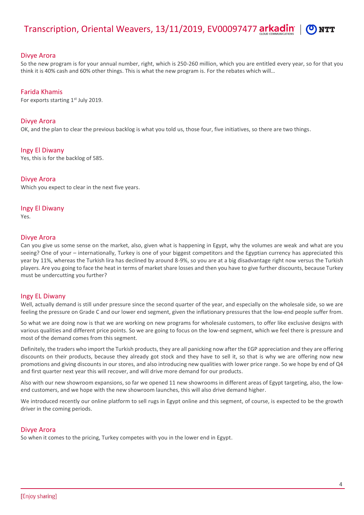

# Divye Arora

So the new program is for your annual number, right, which is 250-260 million, which you are entitled every year, so for that you think it is 40% cash and 60% other things. This is what the new program is. For the rebates which will…

# Farida Khamis

For exports starting  $1<sup>st</sup>$  July 2019.

# Divye Arora

OK, and the plan to clear the previous backlog is what you told us, those four, five initiatives, so there are two things.

Ingy El Diwany

Yes, this is for the backlog of 585.

# Divye Arora

Which you expect to clear in the next five years.

# Ingy El Diwany

Yes.

# Divye Arora

Can you give us some sense on the market, also, given what is happening in Egypt, why the volumes are weak and what are you seeing? One of your – internationally, Turkey is one of your biggest competitors and the Egyptian currency has appreciated this year by 11%, whereas the Turkish lira has declined by around 8-9%, so you are at a big disadvantage right now versus the Turkish players. Are you going to face the heat in terms of market share losses and then you have to give further discounts, because Turkey must be undercutting you further?

# Ingy EL Diwany

Well, actually demand is still under pressure since the second quarter of the year, and especially on the wholesale side, so we are feeling the pressure on Grade C and our lower end segment, given the inflationary pressures that the low-end people suffer from.

So what we are doing now is that we are working on new programs for wholesale customers, to offer like exclusive designs with various qualities and different price points. So we are going to focus on the low-end segment, which we feel there is pressure and most of the demand comes from this segment.

Definitely, the traders who import the Turkish products, they are all panicking now after the EGP appreciation and they are offering discounts on their products, because they already got stock and they have to sell it, so that is why we are offering now new promotions and giving discounts in our stores, and also introducing new qualities with lower price range. So we hope by end of Q4 and first quarter next year this will recover, and will drive more demand for our products.

Also with our new showroom expansions, so far we opened 11 new showrooms in different areas of Egypt targeting, also, the lowend customers, and we hope with the new showroom launches, this will also drive demand higher.

We introduced recently our online platform to sell rugs in Egypt online and this segment, of course, is expected to be the growth driver in the coming periods.

# Divye Arora

So when it comes to the pricing, Turkey competes with you in the lower end in Egypt.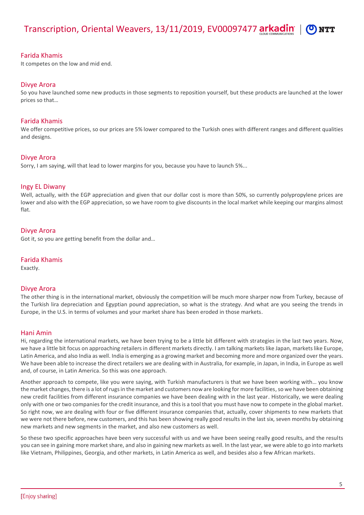# Farida Khamis

It competes on the low and mid end.

# Divye Arora

So you have launched some new products in those segments to reposition yourself, but these products are launched at the lower prices so that…

# Farida Khamis

We offer competitive prices, so our prices are 5% lower compared to the Turkish ones with different ranges and different qualities and designs.

# Divye Arora

Sorry, I am saying, will that lead to lower margins for you, because you have to launch 5%...

# Ingy EL Diwany

Well, actually, with the EGP appreciation and given that our dollar cost is more than 50%, so currently polypropylene prices are lower and also with the EGP appreciation, so we have room to give discounts in the local market while keeping our margins almost flat.

# Divye Arora

Got it, so you are getting benefit from the dollar and…

# Farida Khamis

Exactly.

# Divye Arora

The other thing is in the international market, obviously the competition will be much more sharper now from Turkey, because of the Turkish lira depreciation and Egyptian pound appreciation, so what is the strategy. And what are you seeing the trends in Europe, in the U.S. in terms of volumes and your market share has been eroded in those markets.

# Hani Amin

Hi, regarding the international markets, we have been trying to be a little bit different with strategies in the last two years. Now, we have a little bit focus on approaching retailers in different markets directly. I am talking markets like Japan, markets like Europe, Latin America, and also India as well. India is emerging as a growing market and becoming more and more organized over the years. We have been able to increase the direct retailers we are dealing with in Australia, for example, in Japan, in India, in Europe as well and, of course, in Latin America. So this was one approach.

Another approach to compete, like you were saying, with Turkish manufacturers is that we have been working with… you know the market changes, there is a lot of rugs in the market and customers now are looking for more facilities, so we have been obtaining new credit facilities from different insurance companies we have been dealing with in the last year. Historically, we were dealing only with one or two companies for the credit insurance, and thisis a tool that you must have now to compete in the global market. So right now, we are dealing with four or five different insurance companies that, actually, cover shipments to new markets that we were not there before, new customers, and this has been showing really good results in the last six, seven months by obtaining new markets and new segments in the market, and also new customers as well.

So these two specific approaches have been very successful with us and we have been seeing really good results, and the results you can see in gaining more market share, and also in gaining new markets as well. In the last year, we were able to go into markets like Vietnam, Philippines, Georgia, and other markets, in Latin America as well, and besides also a few African markets.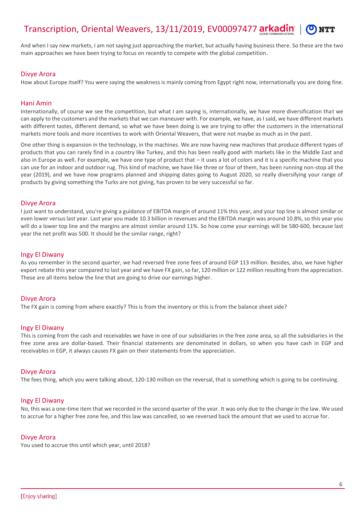#### Transcription, Oriental Weavers, 13/11/2019, EV00097477 arkadin **NTT**

And when I say new markets, I am not saying just approaching the market, but actually having business there. So these are the two main approaches we have been trying to focus on recently to compete with the global competition.

# Divye Arora

How about Europe itself? You were saying the weakness is mainly coming from Egypt right now, internationally you are doing fine.

# Hani Amin

Internationally, of course we see the competition, but what I am saying is, internationally, we have more diversification that we can apply to the customers and the markets that we can maneuver with. For example, we have, as I said, we have different markets with different tastes, different demand, so what we have been doing is we are trying to offer the customers in the international markets more tools and more incentives to work with Oriental Weavers, that were not maybe as much as in the past.

One other thing is expansion in the technology, in the machines. We are now having new machines that produce different types of products that you can rarely find in a country like Turkey, and this has been really good with markets like in the Middle East and also in Europe as well. For example, we have one type of product that – it uses a lot of colors and it is a specific machine that you can use for an indoor and outdoor rug. This kind of machine, we have like three or four of them, has been running non-stop all the year (2019), and we have now programs planned and shipping dates going to August 2020, so really diversifying your range of products by giving something the Turks are not giving, has proven to be very successful so far.

# Divye Arora

I just want to understand, you're giving a guidance of EBITDA margin of around 11% this year, and your top line is almost similar or even lower versus last year. Last year you made 10.3 billion in revenues and the EBITDA margin was around 10.8%, so this year you will do a lower top line and the margins are almost similar around 11%. So how come your earnings will be 580-600, because last year the net profit was 500. It should be the similar range, right?

# Ingy El Diwany

As you remember in the second quarter, we had reversed free zone fees of around EGP 113 million. Besides, also, we have higher export rebate this year compared to last year and we have FX gain, so far, 120 million or 122 million resulting from the appreciation. These are all items below the line that are going to drive our earnings higher.

# Divye Arora

The FX gain is coming from where exactly? This is from the inventory or this is from the balance sheet side?

# Ingy El Diwany

This is coming from the cash and receivables we have in one of our subsidiaries in the free zone area, so all the subsidiaries in the free zone area are dollar-based. Their financial statements are denominated in dollars, so when you have cash in EGP and receivables in EGP, it always causes FX gain on their statements from the appreciation.

# Divye Arora

The fees thing, which you were talking about, 120-130 million on the reversal, that is something which is going to be continuing.

# Ingy El Diwany

No, this was a one-time item that we recorded in the second quarter of the year. It was only due to the change in the law. We used to accrue for a higher free zone fee, and this law was cancelled, so we reversed back the amount that we used to accrue for.

# Divye Arora

You used to accrue this until which year, until 2018?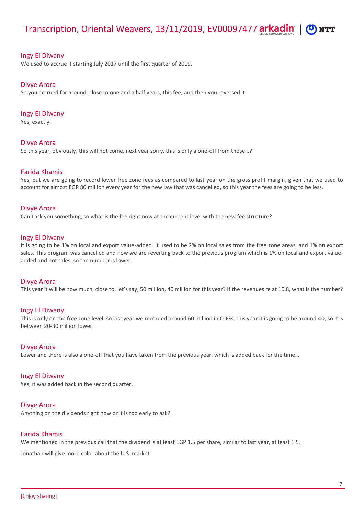#### Transcription, Oriental Weavers, 13/11/2019, EV00097477 arkadin **NTT**

#### Ingy El Diwany

We used to accrue it starting July 2017 until the first quarter of 2019.

#### Divye Arora

So you accrued for around, close to one and a half years, this fee, and then you reversed it.

#### Ingy El Diwany

Yes, exactly.

#### Divye Arora

So this year, obviously, this will not come, next year sorry, this is only a one-off from those…?

# Farida Khamis

Yes, but we are going to record lower free zone fees as compared to last year on the gross profit margin, given that we used to account for almost EGP 80 million every year for the new law that was cancelled, so this year the fees are going to be less.

#### Divye Arora

Can I ask you something, so what is the fee right now at the current level with the new fee structure?

#### Ingy El Diwany

It is going to be 1% on local and export value-added. It used to be 2% on local sales from the free zone areas, and 1% on export sales. This program was cancelled and now we are reverting back to the previous program which is 1% on local and export valueadded and not sales, so the number is lower.

#### Divye Arora

This year it will be how much, close to, let's say, 50 million, 40 million for this year? If the revenues re at 10.8, what is the number?

#### Ingy El Diwany

This is only on the free zone level, so last year we recorded around 60 million in COGs, this year it is going to be around 40, so it is between 20-30 million lower.

#### Divye Arora

Lower and there is also a one-off that you have taken from the previous year, which is added back for the time…

#### Ingy El Diwany

Yes, it was added back in the second quarter.

#### Divye Arora

Anything on the dividends right now or it is too early to ask?

#### Farida Khamis

We mentioned in the previous call that the dividend is at least EGP 1.5 per share, similar to last year, at least 1.5.

Jonathan will give more color about the U.S. market.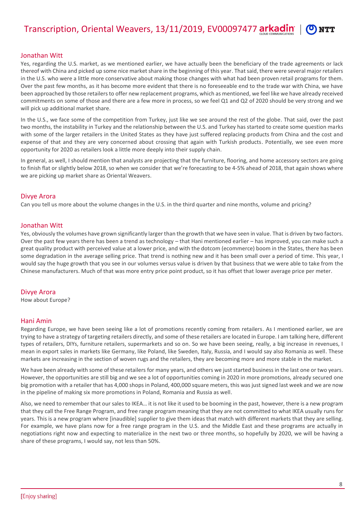# Jonathan Witt

Yes, regarding the U.S. market, as we mentioned earlier, we have actually been the beneficiary of the trade agreements or lack thereof with China and picked up some nice market share in the beginning of this year. That said, there were several major retailers in the U.S. who were a little more conservative about making those changes with what had been proven retail programs for them. Over the past few months, as it has become more evident that there is no foreseeable end to the trade war with China, we have been approached by those retailers to offer new replacement programs, which as mentioned, we feel like we have already received commitments on some of those and there are a few more in process, so we feel Q1 and Q2 of 2020 should be very strong and we will pick up additional market share.

In the U.S., we face some of the competition from Turkey, just like we see around the rest of the globe. That said, over the past two months, the instability in Turkey and the relationship between the U.S. and Turkey has started to create some question marks with some of the larger retailers in the United States as they have just suffered replacing products from China and the cost and expense of that and they are very concerned about crossing that again with Turkish products. Potentially, we see even more opportunity for 2020 as retailers look a little more deeply into their supply chain.

In general, as well, I should mention that analysts are projecting that the furniture, flooring, and home accessory sectors are going to finish flat or slightly below 2018, so when we consider that we're forecasting to be 4-5% ahead of 2018, that again shows where we are picking up market share as Oriental Weavers.

# Divye Arora

Can you tell us more about the volume changes in the U.S. in the third quarter and nine months, volume and pricing?

# Jonathan Witt

Yes, obviously the volumes have grown significantly larger than the growth that we have seen in value. That is driven by two factors. Over the past few years there has been a trend as technology – that Hani mentioned earlier – has improved, you can make such a great quality product with perceived value at a lower price, and with the dotcom (ecommerce) boom in the States, there has been some degradation in the average selling price. That trend is nothing new and it has been small over a period of time. This year, I would say the huge growth that you see in our volumes versus value is driven by that business that we were able to take from the Chinese manufacturers. Much of that was more entry price point product, so it has offset that lower average price per meter.

# Divye Arora

How about Europe?

# Hani Amin

Regarding Europe, we have been seeing like a lot of promotions recently coming from retailers. As I mentioned earlier, we are trying to have a strategy of targeting retailers directly, and some of these retailers are located in Europe. I am talking here, different types of retailers, DIYs, furniture retailers, supermarkets and so on. So we have been seeing, really, a big increase in revenues, I mean in export sales in markets like Germany, like Poland, like Sweden, Italy, Russia, and I would say also Romania as well. These markets are increasing in the section of woven rugs and the retailers, they are becoming more and more stable in the market.

We have been already with some of these retailers for many years, and others we just started business in the last one or two years. However, the opportunities are still big and we see a lot of opportunities coming in 2020 in more promotions, already secured one big promotion with a retailer that has 4,000 shops in Poland, 400,000 square meters, this was just signed last week and we are now in the pipeline of making six more promotions in Poland, Romania and Russia as well.

Also, we need to remember that our sales to IKEA… it is not like it used to be booming in the past, however, there is a new program that they call the Free Range Program, and free range program meaning that they are not committed to what IKEA usually runs for years. This is a new program where [inaudible] supplier to give them ideas that match with different markets that they are selling. For example, we have plans now for a free range program in the U.S. and the Middle East and these programs are actually in negotiations right now and expecting to materialize in the next two or three months, so hopefully by 2020, we will be having a share of these programs, I would say, not less than 50%.

**NTT**